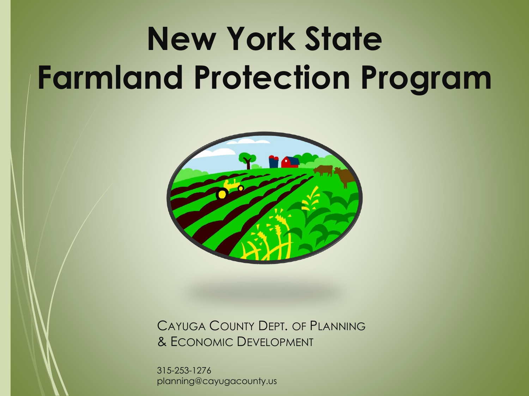# **New York State Farmland Protection Program**



CAYUGA COUNTY DEPT. OF PLANNING & ECONOMIC DEVELOPMENT

315-253-1276 planning@cayugacounty.us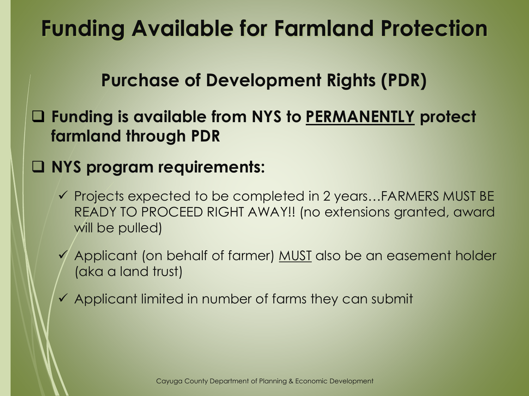# **Funding Available for Farmland Protection**

#### **Purchase of Development Rights (PDR)**

 **Funding is available from NYS to PERMANENTLY protect farmland through PDR**

#### **NYS program requirements:**

- $\checkmark$  Projects expected to be completed in 2 years...FARMERS MUST BE READY TO PROCEED RIGHT AWAY!! (no extensions granted, award will be pulled)
- Applicant (on behalf of farmer) MUST also be an easement holder (aka a land trust)
- $\checkmark$  Applicant limited in number of farms they can submit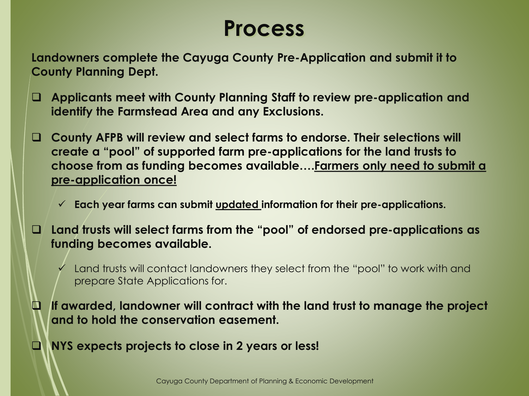### **Process**

**Landowners complete the Cayuga County Pre-Application and submit it to County Planning Dept.**

- **Applicants meet with County Planning Staff to review pre-application and identify the Farmstead Area and any Exclusions.**
- **County AFPB will review and select farms to endorse. Their selections will create a "pool" of supported farm pre-applications for the land trusts to choose from as funding becomes available….Farmers only need to submit a pre-application once!**
	- **Each year farms can submit updated information for their pre-applications.**
- **Land trusts will select farms from the "pool" of endorsed pre-applications as funding becomes available.**
	- Land trusts will contact landowners they select from the "pool" to work with and prepare State Applications for.
- **If awarded, landowner will contract with the land trust to manage the project and to hold the conservation easement.**
- **NYS expects projects to close in 2 years or less!**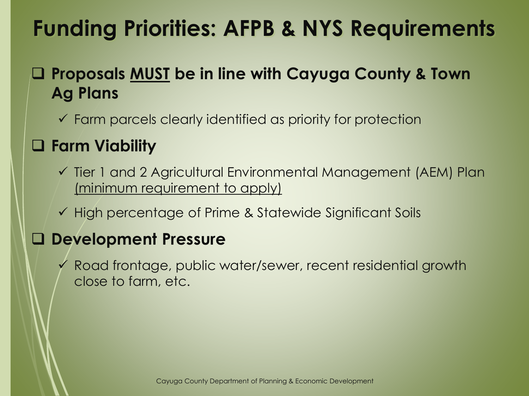# **Funding Priorities: AFPB & NYS Requirements**

#### **Proposals MUST be in line with Cayuga County & Town Ag Plans**

 $\checkmark$  Farm parcels clearly identified as priority for protection

#### **Farm Viability**

- Tier 1 and 2 Agricultural Environmental Management (AEM) Plan (minimum requirement to apply)
- $\checkmark$  High percentage of Prime & Statewide Significant Soils

#### **Development Pressure**

 Road frontage, public water/sewer, recent residential growth close to farm, etc.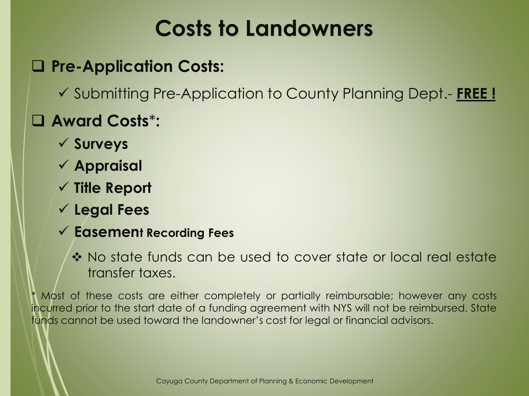# **Costs to Landowners**

#### **Pre-Application Costs:**

Submitting Pre-Application to County Planning Dept.- **FREE !**

#### **Award Costs**\***:**

- **Surveys**
- **Appraisal**
- **Title Report**
- **Legal Fees**
- **Easement Recording Fees** 
	- No state funds can be used to cover state or local real estate transfer taxes.

Most of these costs are either completely or partially reimbursable; however any costs incurred prior to the start date of a funding agreement with NYS will not be reimbursed. State funds cannot be used toward the landowner's cost for legal or financial advisors.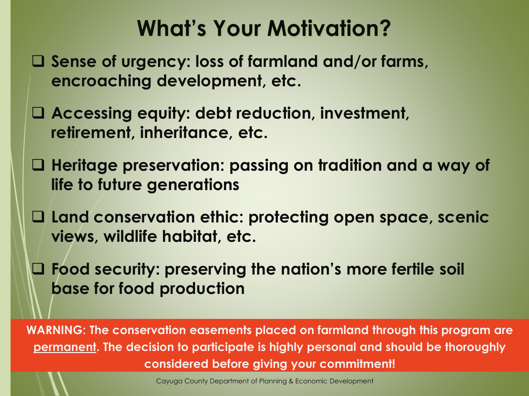# **What's Your Motivation?**

- **Sense of urgency: loss of farmland and/or farms, encroaching development, etc.**
- **Accessing equity: debt reduction, investment, retirement, inheritance, etc.**
- **Heritage preservation: passing on tradition and a way of life to future generations**
- **Land conservation ethic: protecting open space, scenic views, wildlife habitat, etc.**
- **Food security: preserving the nation's more fertile soil base for food production**

**WARNING: The conservation easements placed on farmland through this program are permanent. The decision to participate is highly personal and should be thoroughly considered before giving your commitment!**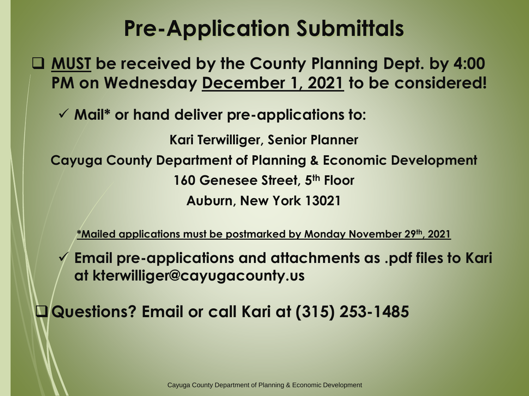# **Pre-Application Submittals**

 **MUST be received by the County Planning Dept. by 4:00 PM on Wednesday December 1, 2021 to be considered!**

**Mail\* or hand deliver pre-applications to:**

**Kari Terwilliger, Senior Planner Cayuga County Department of Planning & Economic Development 160 Genesee Street, 5th Floor Auburn, New York 13021**

**\*Mailed applications must be postmarked by Monday November 29th, 2021**

 **Email pre-applications and attachments as .pdf files to Kari at kterwilliger@cayugacounty.us** 

**Questions? Email or call Kari at (315) 253-1485**